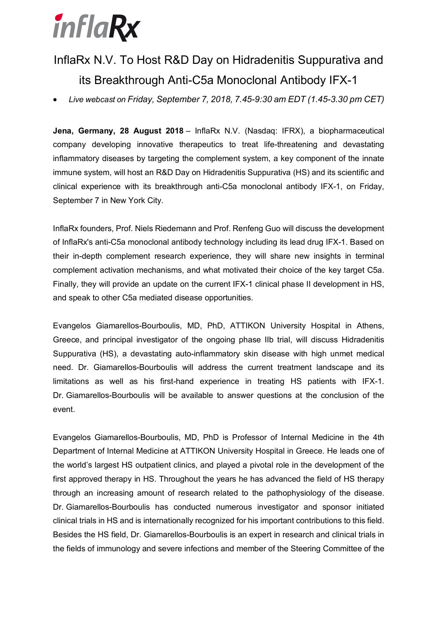# inflaRx

## InflaRx N.V. To Host R&D Day on Hidradenitis Suppurativa and its Breakthrough Anti-C5a Monoclonal Antibody IFX-1

• *Live webcast on Friday, September 7, 2018, 7.45-9:30 am EDT (1.45-3.30 pm CET)*

**Jena, Germany, 28 August 2018** – InflaRx N.V. (Nasdaq: IFRX), a biopharmaceutical company developing innovative therapeutics to treat life-threatening and devastating inflammatory diseases by targeting the complement system, a key component of the innate immune system, will host an R&D Day on Hidradenitis Suppurativa (HS) and its scientific and clinical experience with its breakthrough anti-C5a monoclonal antibody IFX-1, on Friday, September 7 in New York City.

InflaRx founders, Prof. Niels Riedemann and Prof. Renfeng Guo will discuss the development of InflaRx's anti-C5a monoclonal antibody technology including its lead drug IFX-1. Based on their in-depth complement research experience, they will share new insights in terminal complement activation mechanisms, and what motivated their choice of the key target C5a. Finally, they will provide an update on the current IFX-1 clinical phase II development in HS, and speak to other C5a mediated disease opportunities.

Evangelos Giamarellos-Bourboulis, MD, PhD, ATTIKON University Hospital in Athens, Greece, and principal investigator of the ongoing phase IIb trial, will discuss Hidradenitis Suppurativa (HS), a devastating auto-inflammatory skin disease with high unmet medical need. Dr. Giamarellos-Bourboulis will address the current treatment landscape and its limitations as well as his first-hand experience in treating HS patients with IFX-1. Dr. Giamarellos-Bourboulis will be available to answer questions at the conclusion of the event.

Evangelos Giamarellos-Bourboulis, MD, PhD is Professor of Internal Medicine in the 4th Department of Internal Medicine at ATTIKON University Hospital in Greece. He leads one of the world's largest HS outpatient clinics, and played a pivotal role in the development of the first approved therapy in HS. Throughout the years he has advanced the field of HS therapy through an increasing amount of research related to the pathophysiology of the disease. Dr. Giamarellos-Bourboulis has conducted numerous investigator and sponsor initiated clinical trials in HS and is internationally recognized for his important contributions to this field. Besides the HS field, Dr. Giamarellos-Bourboulis is an expert in research and clinical trials in the fields of immunology and severe infections and member of the Steering Committee of the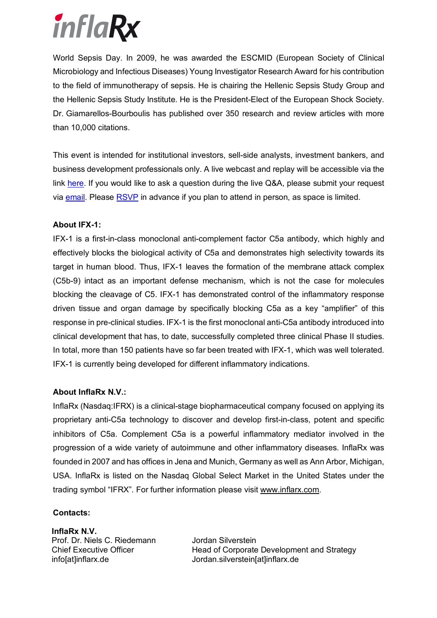

World Sepsis Day. In 2009, he was awarded the ESCMID (European Society of Clinical Microbiology and Infectious Diseases) Young Investigator Research Award for his contribution to the field of immunotherapy of sepsis. He is chairing the Hellenic Sepsis Study Group and the Hellenic Sepsis Study Institute. He is the President-Elect of the European Shock Society. Dr. Giamarellos-Bourboulis has published over 350 research and review articles with more than 10,000 citations.

This event is intended for institutional investors, sell-side analysts, investment bankers, and business development professionals only. A live webcast and replay will be accessible via the link here. If you would like to ask a question during the live Q&A, please submit your request via email. Please RSVP in advance if you plan to attend in person, as space is limited.

#### **About IFX-1:**

IFX-1 is a first-in-class monoclonal anti-complement factor C5a antibody, which highly and effectively blocks the biological activity of C5a and demonstrates high selectivity towards its target in human blood. Thus, IFX-1 leaves the formation of the membrane attack complex (C5b-9) intact as an important defense mechanism, which is not the case for molecules blocking the cleavage of C5. IFX-1 has demonstrated control of the inflammatory response driven tissue and organ damage by specifically blocking C5a as a key "amplifier" of this response in pre-clinical studies. IFX-1 is the first monoclonal anti-C5a antibody introduced into clinical development that has, to date, successfully completed three clinical Phase II studies. In total, more than 150 patients have so far been treated with IFX-1, which was well tolerated. IFX-1 is currently being developed for different inflammatory indications.

#### **About InflaRx N.V.:**

InflaRx (Nasdaq:IFRX) is a clinical-stage biopharmaceutical company focused on applying its proprietary anti-C5a technology to discover and develop first-in-class, potent and specific inhibitors of C5a. Complement C5a is a powerful inflammatory mediator involved in the progression of a wide variety of autoimmune and other inflammatory diseases. InflaRx was founded in 2007 and has offices in Jena and Munich, Germany as well as Ann Arbor, Michigan, USA. InflaRx is listed on the Nasdaq Global Select Market in the United States under the trading symbol "IFRX". For further information please visit www.inflarx.com.

#### **Contacts:**

**InflaRx N.V.** Prof. Dr. Niels C. Riedemann Chief Executive Officer info[at]inflarx.de

Jordan Silverstein Head of Corporate Development and Strategy Jordan.silverstein[at]inflarx.de